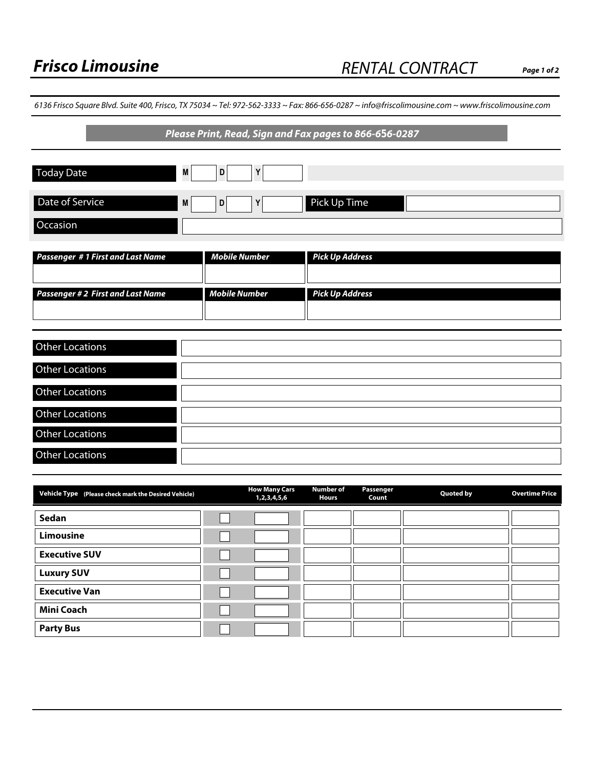6136 Frisco Square Blvd. Suite 400, Frisco, TX 75034 ~ Tel: 972-562-3333 ~ Fax: 866-656-0287 ~ info@friscolimousine.com ~ www.friscolimousine.com

# **Please Print, Read, Sign and Fax pages to 866-6***5***6-0287**

| <b>Today Date</b>                        | M | D                    |                        |
|------------------------------------------|---|----------------------|------------------------|
| Date of Service                          | M | D                    | Pick Up Time           |
| Occasion                                 |   |                      |                        |
| <b>Passenger #1 First and Last Name</b>  |   | <b>Mobile Number</b> | <b>Pick Up Address</b> |
| <b>Passenger # 2 First and Last Name</b> |   | <b>Mobile Number</b> | <b>Pick Up Address</b> |

| <b>Other Locations</b> |  |
|------------------------|--|
| <b>Other Locations</b> |  |
| <b>Other Locations</b> |  |
| <b>Other Locations</b> |  |
| <b>Other Locations</b> |  |
| <b>Other Locations</b> |  |

| Vehicle Type (Please check mark the Desired Vehicle) | <b>How Many Cars</b><br>1,2,3,4,5,6 | <b>Number of</b><br><b>Hours</b> | <b>Passenger</b><br>Count | <b>Quoted by</b> | <b>Overtime Price</b> |
|------------------------------------------------------|-------------------------------------|----------------------------------|---------------------------|------------------|-----------------------|
| Sedan                                                | $\vert \vert$                       |                                  |                           |                  |                       |
| <b>Limousine</b>                                     | $\blacktriangledown$                |                                  |                           |                  |                       |
| <b>Executive SUV</b>                                 | $\blacktriangledown$                |                                  |                           |                  |                       |
| <b>Luxury SUV</b>                                    | $\vert \bm{\nabla} \vert$           |                                  |                           |                  |                       |
| <b>Executive Van</b>                                 | $\blacktriangledown$                |                                  |                           |                  |                       |
| <b>Mini Coach</b>                                    | $\vert \vert$                       |                                  |                           |                  |                       |
| <b>Party Bus</b>                                     | $\blacktriangledown$                |                                  |                           |                  |                       |